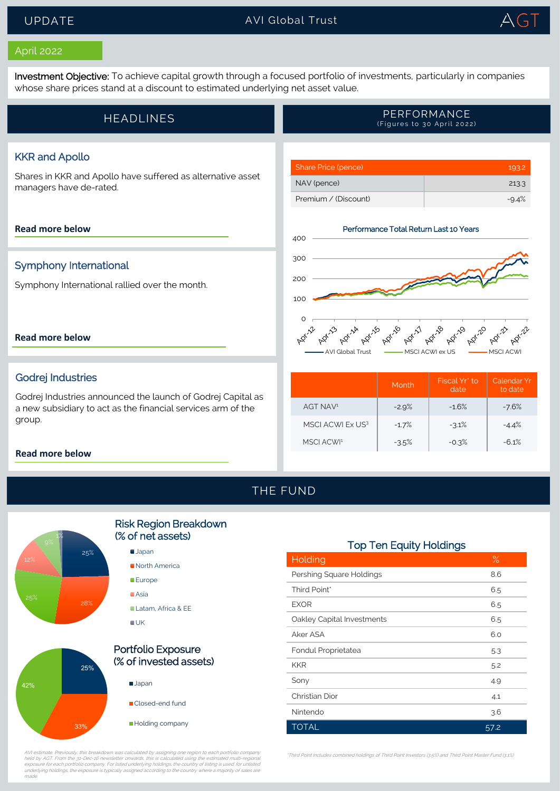### UPDATE AVI Global Trust TrustTrust



#### April 2022

Investment Objective: To achieve capital growth through a focused portfolio of investments, particularly in companies whose share prices stand at a discount to estimated underlying net asset value.

|  | <b>HEADLINES</b> | PERFORMANCE<br>(Figures to 30 April 2022) |
|--|------------------|-------------------------------------------|
|--|------------------|-------------------------------------------|

#### KKR and Apollo

Shares in KKR and Apollo have suffered as alternative asset managers have de-rated.

#### **[Read more below](#page-1-0)**

#### Symphony International

Symphony International rallied over the month.

#### **[Read more below](#page-1-1)**

#### Godrej Industries

Godrej Industries announced the launch of Godrej Capital as a new subsidiary to act as the financial services arm of the group.

#### **[Read more below](#page-2-0)**



Share Price (pence) 193.2 NAV (pence) 213.3

|                       | Month   | Fiscal Yr* to<br>date | Calendar Yr<br>to date |
|-----------------------|---------|-----------------------|------------------------|
| AGT NAV <sup>1</sup>  | $-2.9%$ | $-16%$                | $-7.6%$                |
| MSCI ACWI Ex US3      | $-1.7%$ | $-3.1%$               | $-4.4%$                |
| MSCLACW <sup>11</sup> | $-3.5%$ | $-0.3%$               | $-61%$                 |

## THE FUND



# Risk Region Breakdown (% of net assets)

**Japan** North America **Europe**  $A$ sia Latam, Africa & FE **UK** 



AVI estimate. Previously, this breakdown was calculated by assigning one region to each portfolio company<br>held by AGT. From the 31-Dec-16 newsletter onwards, this is calculated using the estimated multi-regional<br>exposure f made.

#### Top Ten Equity Holdings

| Holding                    | $\%$ |
|----------------------------|------|
| Pershing Square Holdings   | 8.6  |
| Third Point*               | 6.5  |
| <b>EXOR</b>                | 6.5  |
| Oakley Capital Investments | 6.5  |
| Aker ASA                   | 6.0  |
| Fondul Proprietatea        | 5.3  |
| <b>KKR</b>                 | 5.2  |
| Sony                       | 4.9  |
| Christian Dior             | 4.1  |
| Nintendo                   | 3.6  |
| <b>TOTAL</b>               | 57.2 |

\*Third Point includes combined holdings of Third Point Investors (3.5%) and Third Point Master Fund (3.1%)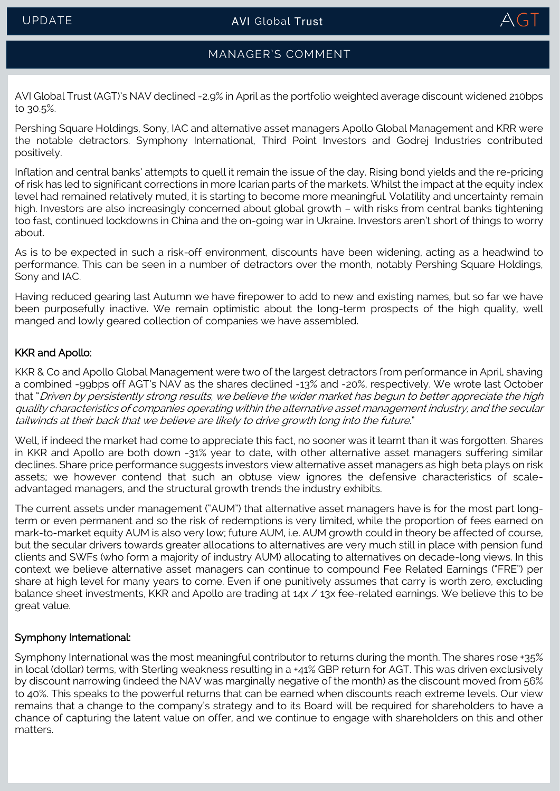

## MANAGER'S COMMENT

AVI Global Trust (AGT)'s NAV declined -2.9% in April as the portfolio weighted average discount widened 210bps to 30.5%.

Pershing Square Holdings, Sony, IAC and alternative asset managers Apollo Global Management and KRR were the notable detractors. Symphony International, Third Point Investors and Godrej Industries contributed positively.

Inflation and central banks' attempts to quell it remain the issue of the day. Rising bond yields and the re-pricing of risk has led to significant corrections in more Icarian parts of the markets. Whilst the impact at the equity index level had remained relatively muted, it is starting to become more meaningful. Volatility and uncertainty remain high. Investors are also increasingly concerned about global growth – with risks from central banks tightening too fast, continued lockdowns in China and the on-going war in Ukraine. Investors aren't short of things to worry about.

As is to be expected in such a risk-off environment, discounts have been widening, acting as a headwind to performance. This can be seen in a number of detractors over the month, notably Pershing Square Holdings, Sony and IAC.

Having reduced gearing last Autumn we have firepower to add to new and existing names, but so far we have been purposefully inactive. We remain optimistic about the long-term prospects of the high quality, well manged and lowly geared collection of companies we have assembled.

#### <span id="page-1-0"></span>KKR and Apollo:

KKR & Co and Apollo Global Management were two of the largest detractors from performance in April, shaving a combined -99bps off AGT's NAV as the shares declined -13% and -20%, respectively. We wrote last October that "Driven by persistently strong results, we believe the wider market has begun to better appreciate the high quality characteristics of companies operating within the alternative asset management industry, and the secular tailwinds at their back that we believe are likely to drive growth long into the future."

Well, if indeed the market had come to appreciate this fact, no sooner was it learnt than it was forgotten. Shares in KKR and Apollo are both down -31% year to date, with other alternative asset managers suffering similar declines. Share price performance suggests investors view alternative asset managers as high beta plays on risk assets; we however contend that such an obtuse view ignores the defensive characteristics of scaleadvantaged managers, and the structural growth trends the industry exhibits.

The current assets under management ("AUM") that alternative asset managers have is for the most part longterm or even permanent and so the risk of redemptions is very limited, while the proportion of fees earned on mark-to-market equity AUM is also very low; future AUM, i.e. AUM growth could in theory be affected of course, but the secular drivers towards greater allocations to alternatives are very much still in place with pension fund clients and SWFs (who form a majority of industry AUM) allocating to alternatives on decade-long views. In this context we believe alternative asset managers can continue to compound Fee Related Earnings ("FRE") per share at high level for many years to come. Even if one punitively assumes that carry is worth zero, excluding balance sheet investments, KKR and Apollo are trading at 14x / 13x fee-related earnings. We believe this to be great value.

#### <span id="page-1-1"></span>Symphony International:

Symphony International was the most meaningful contributor to returns during the month. The shares rose +35% in local (dollar) terms, with Sterling weakness resulting in a +41% GBP return for AGT. This was driven exclusively by discount narrowing (indeed the NAV was marginally negative of the month) as the discount moved from 56% to 40%. This speaks to the powerful returns that can be earned when discounts reach extreme levels. Our view remains that a change to the company's strategy and to its Board will be required for shareholders to have a chance of capturing the latent value on offer, and we continue to engage with shareholders on this and other matters.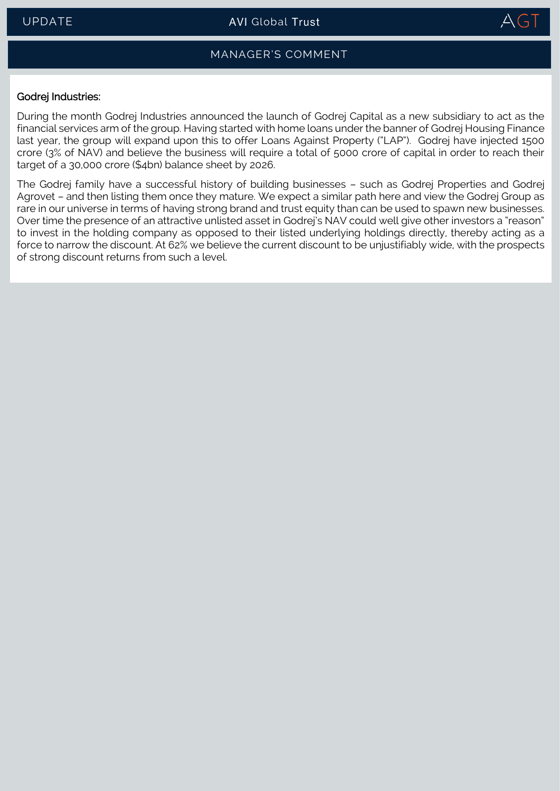

## MANAGER'S COMMENT

#### <span id="page-2-0"></span>Godrej Industries:

During the month Godrej Industries announced the launch of Godrej Capital as a new subsidiary to act as the financial services arm of the group. Having started with home loans under the banner of Godrej Housing Finance last year, the group will expand upon this to offer Loans Against Property ("LAP"). Godrej have injected 1500 crore (3% of NAV) and believe the business will require a total of 5000 crore of capital in order to reach their target of a 30,000 crore (\$4bn) balance sheet by 2026.

The Godrej family have a successful history of building businesses – such as Godrej Properties and Godrej Agrovet – and then listing them once they mature. We expect a similar path here and view the Godrej Group as rare in our universe in terms of having strong brand and trust equity than can be used to spawn new businesses. Over time the presence of an attractive unlisted asset in Godrej's NAV could well give other investors a "reason" to invest in the holding company as opposed to their listed underlying holdings directly, thereby acting as a force to narrow the discount. At 62% we believe the current discount to be unjustifiably wide, with the prospects of strong discount returns from such a level.